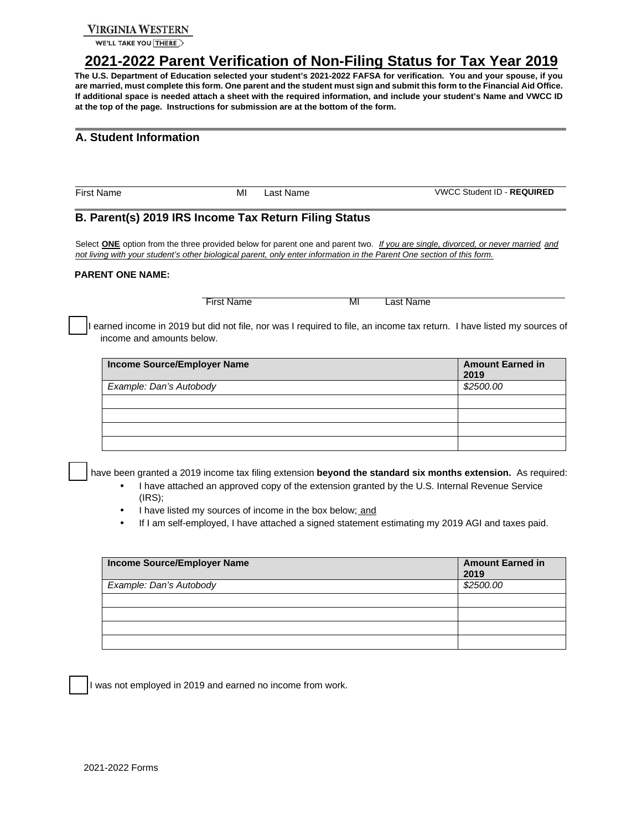### **VIRGINIA WESTERN**

WE'LL TAKE YOU THERE

# <sup>U</sup>**2021-2022 Parent Verification of Non-Filing Status for Tax Year 2019**<sup>U</sup>

**The U.S. Department of Education selected your student's 2021-2022 FAFSA for verification. You and your spouse, if you are married, must complete this form. One parent and the student must sign and submit this form to the Financial Aid Office. If additional space is needed attach a sheet with the required information, and include your student's Name and VWCC ID at the top of the page. Instructions for submission are at the bottom of the form.** 

## **A. Student Information**

First Name MI Last Name VWCC Student ID - **REQUIRED** 

### **B. Parent(s) 2019 IRS Income Tax Return Filing Status**

Select **ONE** option from the three provided below for parent one and parent two. If you are single, divorced, or never married and *not living with your student's other biological parent, only enter information in the Parent One section of this form.* 

#### **PARENT ONE NAME:**

First Name MI Last Name

I earned income in 2019 but did not file, nor was I required to file, an income tax return. I have listed my sources of income and amounts below.

| Income Source/Employer Name | <b>Amount Earned in</b><br>2019 |
|-----------------------------|---------------------------------|
| Example: Dan's Autobody     | \$2500.00                       |
|                             |                                 |
|                             |                                 |
|                             |                                 |
|                             |                                 |

have been granted a 2019 income tax filing extension **beyond the standard six months extension.** As required:

- I have attached an approved copy of the extension granted by the U.S. Internal Revenue Service (IRS);
- I have listed my sources of income in the box below; and
- If I am self-employed, I have attached a signed statement estimating my 2019 AGI and taxes paid.

| Income Source/Employer Name | <b>Amount Earned in</b><br>2019 |
|-----------------------------|---------------------------------|
| Example: Dan's Autobody     | \$2500.00                       |
|                             |                                 |
|                             |                                 |
|                             |                                 |
|                             |                                 |

I was not employed in 2019 and earned no income from work.